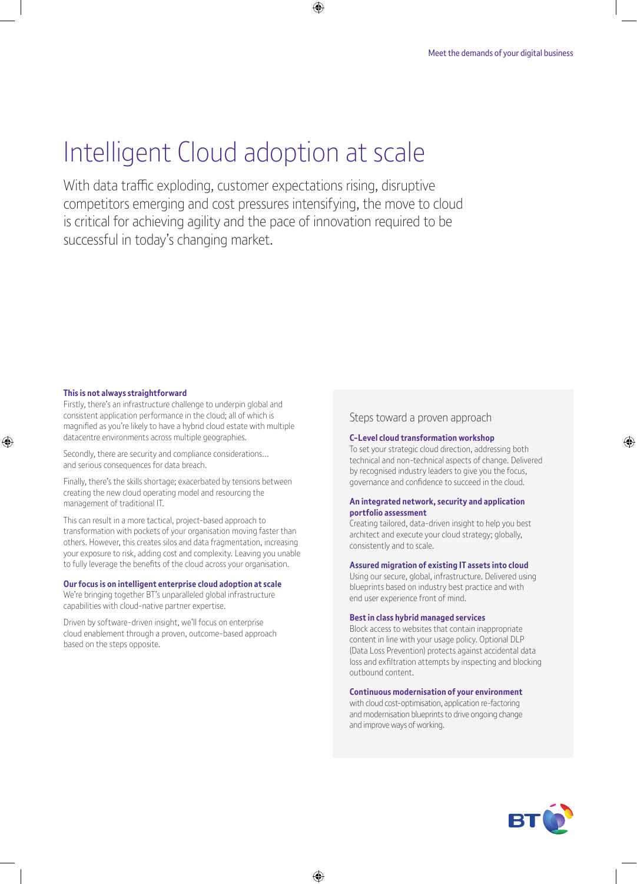# Intelligent Cloud adoption at scale

With data traffic exploding, customer expectations rising, disruptive competitors emerging and cost pressures intensifying, the move to cloud is critical for achieving agility and the pace of innovation required to be successful in today's changing market.

⊕

#### **This is not always straightforward**

⊕

Firstly, there's an infrastructure challenge to underpin global and consistent application performance in the cloud; all of which is magnified as you're likely to have a hybrid cloud estate with multiple datacentre environments across multiple geographies.

Secondly, there are security and compliance considerations… and serious consequences for data breach.

Finally, there's the skills shortage; exacerbated by tensions between creating the new cloud operating model and resourcing the management of traditional IT.

This can result in a more tactical, project-based approach to transformation with pockets of your organisation moving faster than others. However, this creates silos and data fragmentation, increasing your exposure to risk, adding cost and complexity. Leaving you unable to fully leverage the benefits of the cloud across your organisation.

#### **Our focus is on intelligent enterprise cloud adoption at scale**

We're bringing together BT's unparalleled global infrastructure capabilities with cloud-native partner expertise.

Driven by software-driven insight, we'll focus on enterprise cloud enablement through a proven, outcome-based approach based on the steps opposite.

### Steps toward a proven approach

#### **C-Level cloud transformation workshop**

To set your strategic cloud direction, addressing both technical and non-technical aspects of change. Delivered by recognised industry leaders to give you the focus, governance and confidence to succeed in the cloud.

#### **An integrated network, security and application portfolio assessment**

Creating tailored, data-driven insight to help you best architect and execute your cloud strategy; globally, consistently and to scale.

#### **Assured migration of existing IT assets into cloud**

Using our secure, global, infrastructure. Delivered using blueprints based on industry best practice and with end user experience front of mind.

#### **Best in class hybrid managed services**

Block access to websites that contain inappropriate content in line with your usage policy. Optional DLP (Data Loss Prevention) protects against accidental data loss and exfiltration attempts by inspecting and blocking outbound content.

#### **Continuous modernisation of your environment**

with cloud cost-optimisation, application re-factoring and modernisation blueprints to drive ongoing change and improve ways of working.



⊕